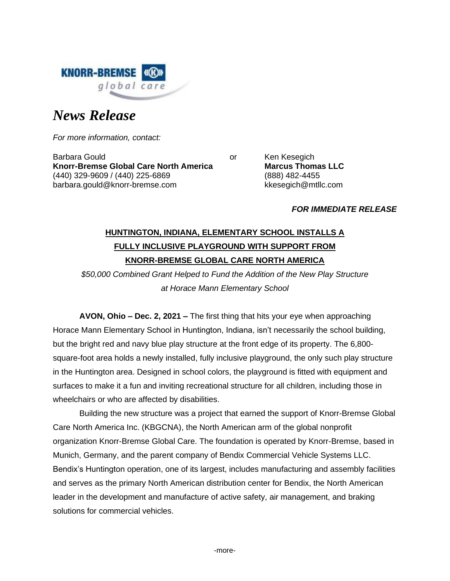

# *News Release*

*For more information, contact:*

Barbara Gould **Contract Contract Contract Contract Contract Contract Contract Contract Contract Contract Contract Contract Contract Contract Contract Contract Contract Contract Contract Contract Contract Contract Contract Knorr-Bremse Global Care North America Marcus Thomas LLC** (440) 329-9609 / (440) 225-6869 (888) 482-4455 barbara.gould@knorr-bremse.com kkesegich@mtllc.com

## *FOR IMMEDIATE RELEASE*

## **HUNTINGTON, INDIANA, ELEMENTARY SCHOOL INSTALLS A FULLY INCLUSIVE PLAYGROUND WITH SUPPORT FROM KNORR-BREMSE GLOBAL CARE NORTH AMERICA**

*\$50,000 Combined Grant Helped to Fund the Addition of the New Play Structure at Horace Mann Elementary School*

**AVON, Ohio – Dec. 2, 2021 –** The first thing that hits your eye when approaching Horace Mann Elementary School in Huntington, Indiana, isn't necessarily the school building, but the bright red and navy blue play structure at the front edge of its property. The 6,800 square-foot area holds a newly installed, fully inclusive playground, the only such play structure in the Huntington area. Designed in school colors, the playground is fitted with equipment and surfaces to make it a fun and inviting recreational structure for all children, including those in wheelchairs or who are affected by disabilities.

Building the new structure was a project that earned the support of Knorr-Bremse Global Care North America Inc. (KBGCNA), the North American arm of the global nonprofit organization Knorr-Bremse Global Care. The foundation is operated by Knorr-Bremse, based in Munich, Germany, and the parent company of Bendix Commercial Vehicle Systems LLC. Bendix's Huntington operation, one of its largest, includes manufacturing and assembly facilities and serves as the primary North American distribution center for Bendix, the North American leader in the development and manufacture of active safety, air management, and braking solutions for commercial vehicles.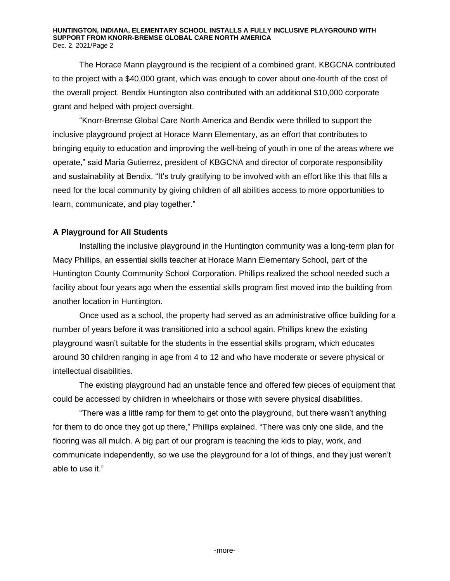#### **HUNTINGTON, INDIANA, ELEMENTARY SCHOOL INSTALLS A FULLY INCLUSIVE PLAYGROUND WITH SUPPORT FROM KNORR-BREMSE GLOBAL CARE NORTH AMERICA** Dec. 2, 2021/Page 2

The Horace Mann playground is the recipient of a combined grant. KBGCNA contributed to the project with a \$40,000 grant, which was enough to cover about one-fourth of the cost of the overall project. Bendix Huntington also contributed with an additional \$10,000 corporate grant and helped with project oversight.

"Knorr-Bremse Global Care North America and Bendix were thrilled to support the inclusive playground project at Horace Mann Elementary, as an effort that contributes to bringing equity to education and improving the well-being of youth in one of the areas where we operate," said Maria Gutierrez, president of KBGCNA and director of corporate responsibility and sustainability at Bendix. "It's truly gratifying to be involved with an effort like this that fills a need for the local community by giving children of all abilities access to more opportunities to learn, communicate, and play together."

## **A Playground for All Students**

Installing the inclusive playground in the Huntington community was a long-term plan for Macy Phillips, an essential skills teacher at Horace Mann Elementary School, part of the Huntington County Community School Corporation. Phillips realized the school needed such a facility about four years ago when the essential skills program first moved into the building from another location in Huntington.

Once used as a school, the property had served as an administrative office building for a number of years before it was transitioned into a school again. Phillips knew the existing playground wasn't suitable for the students in the essential skills program, which educates around 30 children ranging in age from 4 to 12 and who have moderate or severe physical or intellectual disabilities.

The existing playground had an unstable fence and offered few pieces of equipment that could be accessed by children in wheelchairs or those with severe physical disabilities.

"There was a little ramp for them to get onto the playground, but there wasn't anything for them to do once they got up there," Phillips explained. "There was only one slide, and the flooring was all mulch. A big part of our program is teaching the kids to play, work, and communicate independently, so we use the playground for a lot of things, and they just weren't able to use it."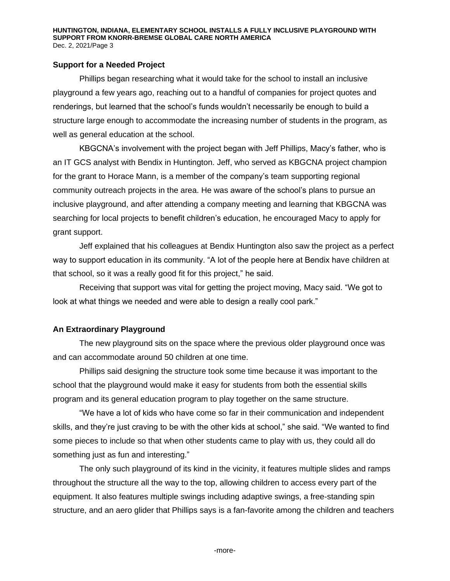## **Support for a Needed Project**

Phillips began researching what it would take for the school to install an inclusive playground a few years ago, reaching out to a handful of companies for project quotes and renderings, but learned that the school's funds wouldn't necessarily be enough to build a structure large enough to accommodate the increasing number of students in the program, as well as general education at the school.

KBGCNA's involvement with the project began with Jeff Phillips, Macy's father, who is an IT GCS analyst with Bendix in Huntington. Jeff, who served as KBGCNA project champion for the grant to Horace Mann, is a member of the company's team supporting regional community outreach projects in the area. He was aware of the school's plans to pursue an inclusive playground, and after attending a company meeting and learning that KBGCNA was searching for local projects to benefit children's education, he encouraged Macy to apply for grant support.

Jeff explained that his colleagues at Bendix Huntington also saw the project as a perfect way to support education in its community. "A lot of the people here at Bendix have children at that school, so it was a really good fit for this project," he said.

Receiving that support was vital for getting the project moving, Macy said. "We got to look at what things we needed and were able to design a really cool park."

## **An Extraordinary Playground**

The new playground sits on the space where the previous older playground once was and can accommodate around 50 children at one time.

Phillips said designing the structure took some time because it was important to the school that the playground would make it easy for students from both the essential skills program and its general education program to play together on the same structure.

"We have a lot of kids who have come so far in their communication and independent skills, and they're just craving to be with the other kids at school," she said. "We wanted to find some pieces to include so that when other students came to play with us, they could all do something just as fun and interesting."

The only such playground of its kind in the vicinity, it features multiple slides and ramps throughout the structure all the way to the top, allowing children to access every part of the equipment. It also features multiple swings including adaptive swings, a free-standing spin structure, and an aero glider that Phillips says is a fan-favorite among the children and teachers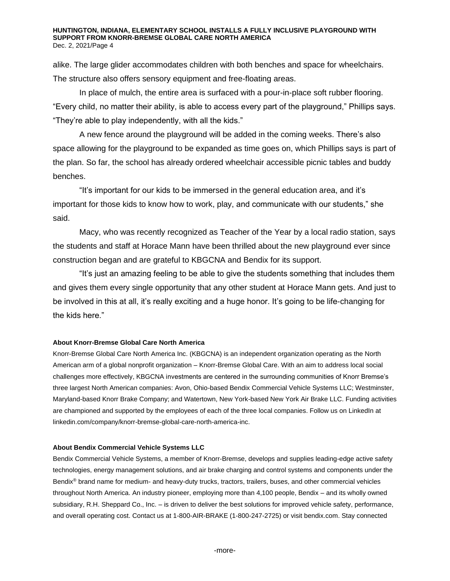#### **HUNTINGTON, INDIANA, ELEMENTARY SCHOOL INSTALLS A FULLY INCLUSIVE PLAYGROUND WITH SUPPORT FROM KNORR-BREMSE GLOBAL CARE NORTH AMERICA** Dec. 2, 2021/Page 4

alike. The large glider accommodates children with both benches and space for wheelchairs. The structure also offers sensory equipment and free-floating areas.

In place of mulch, the entire area is surfaced with a pour-in-place soft rubber flooring. "Every child, no matter their ability, is able to access every part of the playground," Phillips says. "They're able to play independently, with all the kids."

A new fence around the playground will be added in the coming weeks. There's also space allowing for the playground to be expanded as time goes on, which Phillips says is part of the plan. So far, the school has already ordered wheelchair accessible picnic tables and buddy benches.

"It's important for our kids to be immersed in the general education area, and it's important for those kids to know how to work, play, and communicate with our students," she said.

Macy, who was recently recognized as Teacher of the Year by a local radio station, says the students and staff at Horace Mann have been thrilled about the new playground ever since construction began and are grateful to KBGCNA and Bendix for its support.

"It's just an amazing feeling to be able to give the students something that includes them and gives them every single opportunity that any other student at Horace Mann gets. And just to be involved in this at all, it's really exciting and a huge honor. It's going to be life-changing for the kids here."

### **About Knorr-Bremse Global Care North America**

Knorr-Bremse Global Care North America Inc. (KBGCNA) is an independent organization operating as the North American arm of a global nonprofit organization – Knorr-Bremse Global Care. With an aim to address local social challenges more effectively, KBGCNA investments are centered in the surrounding communities of Knorr Bremse's three largest North American companies: Avon, Ohio-based Bendix Commercial Vehicle Systems LLC; Westminster, Maryland-based Knorr Brake Company; and Watertown, New York-based New York Air Brake LLC. Funding activities are championed and supported by the employees of each of the three local companies. Follow us on LinkedIn at linkedin.com/company/knorr-bremse-global-care-north-america-inc.

#### **About Bendix Commercial Vehicle Systems LLC**

Bendix Commercial Vehicle Systems, a member of Knorr-Bremse, develops and supplies leading-edge active safety technologies, energy management solutions, and air brake charging and control systems and components under the Bendix® brand name for medium- and heavy-duty trucks, tractors, trailers, buses, and other commercial vehicles throughout North America. An industry pioneer, employing more than 4,100 people, Bendix – and its wholly owned subsidiary, R.H. Sheppard Co., Inc. – is driven to deliver the best solutions for improved vehicle safety, performance, and overall operating cost. Contact us at 1-800-AIR-BRAKE (1-800-247-2725) or visi[t bendix.com.](http://www.bendix.com/) Stay connected